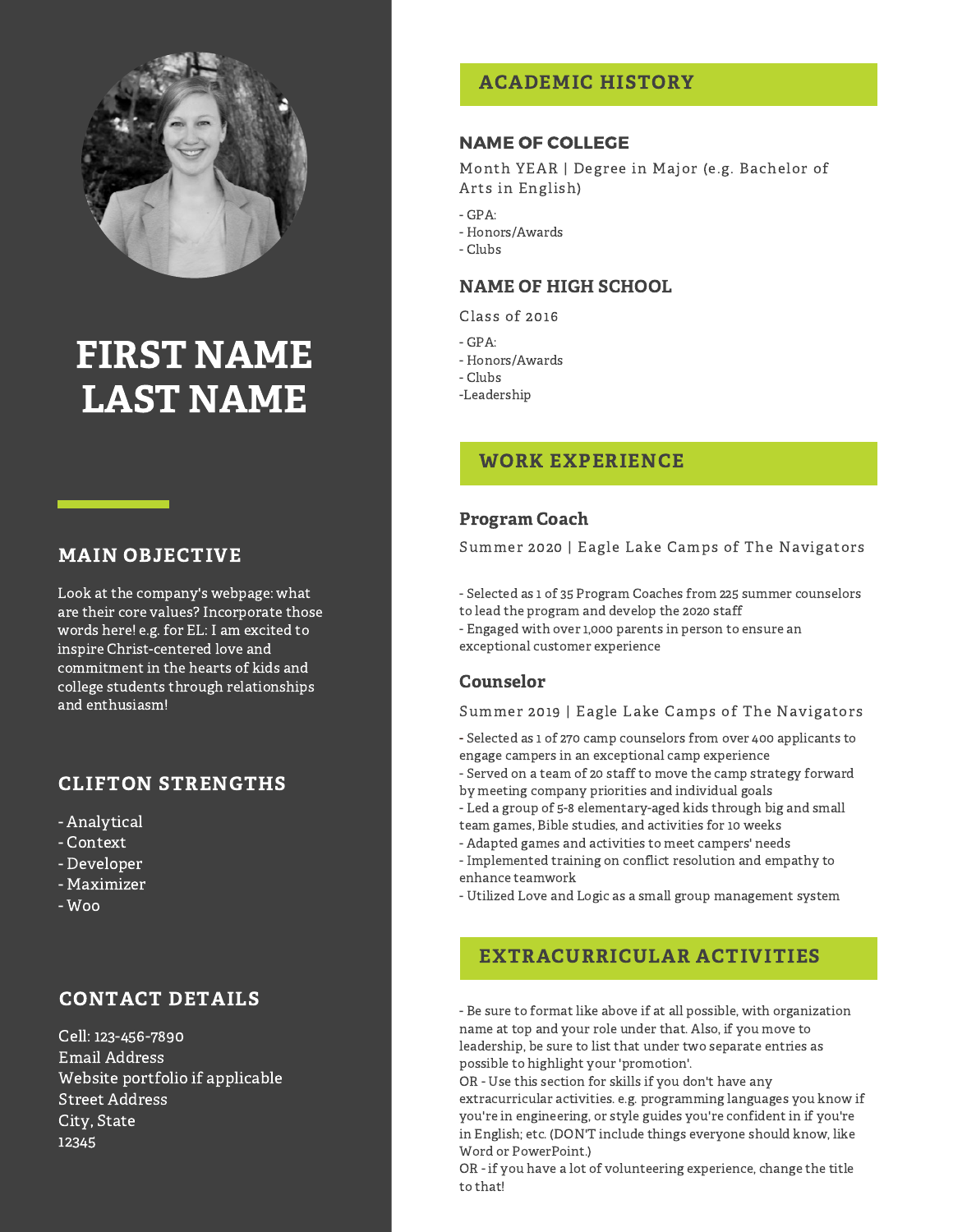

# FIRST NAME LAST NAME

#### MAIN OBJECTIVE

Look at the company's webpage: what are their core values? Incorporate those words here! e.g. for EL: I am excited to inspire Christ-centered love and commitment in the hearts of kids and college students through relationships and enthusiasm!

#### CLIFTON STRENGTHS

- Analytical
- Context
- Developer
- Maximizer
- Woo

### CONTACT DETAILS

Cell: 123-456-7890 Email Address Website portfolio if applicable Street Address City, State 12345

### ACADEMIC HISTORY

#### NAME OF COLLEGE

Month YEAR | Degree in Major (e.g. Bachelor of Arts in English)

- $-GPA$ :
- Honors/Awards
- Clubs

#### NAME OF HIGH SCHOOL

Class of 2016

- $GPA$
- Honors/Awards
- Clubs
- -Leadership

#### WORK EXPERIENCE

#### Program Coach

Summer 2020 | Eagle Lake Camps of The Navigators

- Selected as 1 of 35 Program Coaches from 225 summer counselors to lead the program and develop the 2020 staff

- Engaged with over 1,000 parents in person to ensure an exceptional customer experience

#### Counselor

#### Summer 2019 | Eagle Lake Camps of The Navigators

- Selected as 1 of 270 camp counselors from over 400 applicants to engage campers in an exceptional camp experience

- Served on a team of 20 staff to move the camp strategy forward by meeting company priorities and individual goals

- Led a group of 5-8 elementary-aged kids through big and small team games, Bible studies, and activities for 10 weeks

- Adapted games and activities to meet campers' needs

- Implemented training on conflict resolution and empathy to enhance teamwork

- Utilized Love and Logic as a small group management system

### EXTRACURRICULAR ACTIVITIES

- Be sure to format like above if at all possible, with organization name at top and your role under that. Also, if you move to leadership, be sure to list that under two separate entries as possible to highlight your 'promotion'.

OR - Use this section for skills if you don't have any extracurricular activities. e.g. programming languages you know if you're in engineering, or style guides you're confident in if you're in English; etc. (DON'T include things everyone should know, like Word or PowerPoint.)

OR - if you have a lot of volunteering experience, change the title to that!